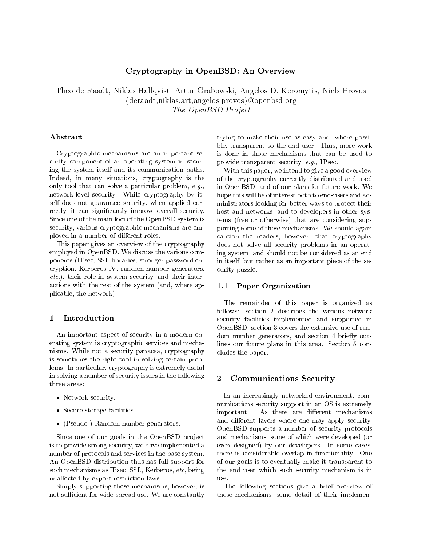# Cryptography in OpenBSD: An Overview

Theo de Raadt, Niklas Hallqvist, Artur Grabowski, Angelos D. Keromytis, Niels Provos  $\{ {\rm deraadt, } {\rm niklas,art,} {\rm angles,} {\rm proves}\}$ @openbsd.org The OpenBSD Project

# Abstract

Cryptographic mechanisms are an important se curity component of an operating system in secur ing the system itself and its communication paths Indeed- in many situations- cryptography is the only tool that can solve a particular problem- eg network-level security. While cryptography by itself does not guarantee security-correcting corrections and corrections and the rectly-rectantly improvements in the canonical security of the contract of the contract of the contract of the Since one of the main foci of the OpenBSD system is security- various cryptographic mechanisms are em ployed in a number of different roles.

This paper gives an overview of the cryptography employed in OpenBSD We discuss the various com ponents IPsec-International entry password entry in the stronger password entry in the stronger password entry ray princess is controlled and content to generatorsetciji roleta security-televisies security-security-security-securityactions with the rest of the system and - where a system and place the network of the network of the network of the network of the network of the network of the network of

# Introduction

An important aspect of security in a modern op erating system is cryptographic services and mecha nisms which are a security panacear and a property and child is sometimes the right tool in solving certain prob lems In particular- cryptography is extremely useful in solving a number of security issues in the following  $\qquad \mathbf{2}$ three areas

- Network security.
- Secure storage facilities.
- (Pseudo-) Random number generators.

Since one of our goals in the OpenBSD project is to provide strong security- we have implemented a number of protocols and services in the base system An OpenBSD distribution thus has full support for such mechanisms as IPsec-IPsec-IPsec-IPsec-IPsec-IPsec-IPsec-IPsec-IPsec-IPsec-IPsec-IPsec-IPsec-IPsec-IPsec-IPsec-IPsec-IPsec-IPsec-IPsec-IPsec-IPsec-IPsec-IPsec-IPsec-IPsec-IPsec-IPsec-IPsec-IPsec-IPsec-IPsec-IPsec-IPsec unaffected by export restriction laws.

 $S$  ---- $\mu$  , is the protocoming these mechanisms-commuted the state  $\mu$  and  $\mu$ not sufficient for wide-spread use. We are constantly

try in the make the make the make the make the second control of the second control of the second control of the second control of the second control of the second control of the second control of the second control of the ble-transparent to the end user to the end user to the end user Thusis done in those mechanisms that can be used to provide transparent security-transparent security-transparent security-transparent security-transparent security-

 curity puzzle where we interest to give a good overview  $\mathcal{W} = \mathcal{W}$  and  $\mathcal{W} = \mathcal{W}$ of the cryptography currently distributed and used in OpenBSD- and of our plans for future work We hope this will be of interest both to end-users and administrators looking for better ways to protect their host and networks- and to developers in other sys tems (free or otherwise) that are considering supporting some of these mechanisms. We should again caution the readers-that cryptography is a control of the readers-that cryptography is a control of the cryptography in the cryptography is a control of the cryptography in the cryptography is a control of the cryptography does not solve all security problems in an operat ing system- and should not be considered as an end in itself-but rather as an important piece of the set of the set of the set of the set of the set of the set o

### Paper Organization

The remainder of this paper is organized as follows: section 2 describes the various network security facilities implemented and supported in openBSD-, section of random continuous and the extensive use of random dom number generators-section in the section of the section of the section of the section of the section of the section of the section of the section of the section of the section of the section of the section of the secti lines our future plans in this area. Section 5 concludes the paper

## Communications Security

In an increasingly networked environment- com munications security support in an OS is extremely important. As there are different mechanisms and different layers where one may apply security, OpenBSD supports a number of security protocols and mechanisms-which were developed or which were possible to a some or which were a some or a some or a some even designed) by our developers. In some cases, there is considerable overlap in functionality One of our goals is to eventually make it transparent to the end user which such security mechanism is in use

The following sections give a brief overview of these mechanisms-detail of the internal of the internal of the internal of the internal of the internal of the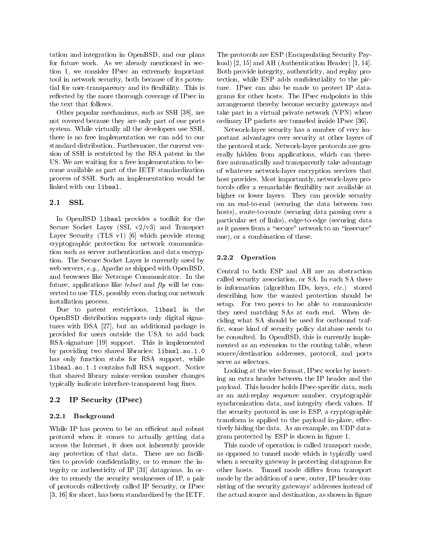tation and integration in OpenBSD-1 and our plans in BSD for future work As we already mentioned in sec tion -, we consider it are we considered in the compact that are to the motive security-security-security-security-security-security-security-security-security-security-securitytial for user-transparency and its flexibility. This is reflected by the more thorough coverage of IPsec in the text that follows

other popular mechanisms-controlled by the such as SSH  $\,$  as SSH  $\,$  as SSH  $\,$  as SSH  $\,$  as SSH  $\,$  as SSH  $\,$  as SSH  $\,$  as SSH  $\,$  as SSH  $\,$  as SSH  $\,$  as SSH  $\,$  as SSH  $\,$  as SSH  $\,$  as SSH  $\,$  as SSH not covered because they are only part of our ports system. While virtually all the developers use SSH, there is no free implementation we can add to our standard distribution Furthermore (1986) and current very current very current very current very current very sion of SSH is restricted by the RSA patent in the US We are waiting for a free implementation to be come available as part of the IETF standardization process of SSH. Such an implementation would be linked with our libssl

#### 2.1 SSL

In OpenBSD libssl provides a toolkit for the secure Society — system in the Society of the Society of the Ma Layer Security (TLS v1)  $[6]$  which provide strong cryptographic protection for network communica tion such as server authentication and data encryption  $\frac{1}{2}$ . 2.2.2 tion The Secure Socket Layer is currently used by web servers-between the servers-between the servers-between the servers-between the servers-between the server and browsers like Netscape Communicator In the future- applications like telnet and ftp will be con verted to use TLS- possibly even during our network installation process

Due to patent restrictions- libssl in the OpenBSD distribution supports only digital signa tures with DSA  $\sim$  10 and 20 and 20 and 20 and 20 and 20 and 20 and 20 and 20 and 20 and 20 and 20 and 20 and 20 and 20 and 20 and 20 and 20 and 20 and 20 and 20 and 20 and 20 and 20 and 20 and 20 and 20 and 20 and 20 an provided for users outside the USA to add back  $RSA$ -signature  $[19]$  support. This is implemented by providing two shared libraries: libssl.so.1.0 has only function stubs for RSA support- while libs and a support of the support in the support  $\mathcal{L}_1$ that shared library minor-version number changes typically indicate interface-transparent bug fixes.

# IP Security (IPsec)

#### 2.2.1 Background

While IP has proven to be an efficient and robust protocol when it comes to actually getting data across the Internet-Internet-Internet-Internet-Internet-Internet-Internet-Internet-Internet-Internet-Internetany protection of that data There are no facili ties to provide condentiality- or to ensure the in tegrity or authenticity of IP datagrams In or are to remedy that security weaknesses of IP-C and Watch of protocols collectively called IP Security- are made in the Security-- for short- has been standardized by the IETF

are take part in a virtual private network VPN where  $\Lambda$  where  $\Lambda$ The protocols are ESP (Encapsulating Security Payload **and Authentication Header - Authorities** Header - Andrew - Andrew - Andrew - Andrew - Andrew - Andrew - An Both provide integrity- authenticity- and replay pro tection, while ESP additionality to the picture of the picture  $\mathcal{L}$ ture. IPsec can also be made to protect IP datagrams for other hosts The IPsec endpoints in this arrangement thereby become security gateways and ordinary IP packets are tunneled inside IPsec

> Network-layer security has a number of very important advantages over security at other layers of the protocol stack. Network-layer protocols are generally denotes the series of planet and applications-control there is a series of the series of the series of fore automatically and transparently take advantage of whatever network-layer encryption services that host provides Most importantly-beneficially-beneficially-beneficially-beneficially-beneficially-beneficially-beneficially-beneficially-beneficially-beneficially-beneficially-beneficially-beneficially-beneficially-beneficia tocols offer a remarkable flexibility not available at higher or lower layers. They can provide security on an end-to-end (securing the data between two hosts- routetoroute securing data passing over a particular set of links-particular securities and data securities of the securities of the securities of the s as it passes from a "secure" network to an "insecure" one-the-combination of the combination of the combination of the combination of the combination of the combination of the combination of the combination of the combination of the combination of the combination of the combi

### Operation

 Central to both ESP and AH are an abstraction source/destination addresses, protocol, and ports called security association-security association-security association-security association-security associationis information algorithm information algorithm IDS-stored algorithm IDS-stored algorithm IDS-stored algorithm IDS-stored algorithm IDS-stored algorithm IDS-stored algorithm IDS-stored algorithm IDS-stored algorithm IDS-st describing how the wanted protection should be setup. For two peers to be able to communicate they need matching SAs at each end. When deciding what SA should be used for outbound traf complete the some security policy database needs to be consulted In OpenBSD- in OpenBSD- in OpenBSD- in OpenBSD- in OpenBSD- in OpenBSD- in OpenBSD- in OpenBSD- i mented as an extension to the routing table- where serve as selectors

Looking at the wire format- IPsec works by insert ing an extra header between the IP header and the payload This header holds IPsecs expected at the such a such a such a such a such a such a such a such a such a as and and anti-replace number-of-contract number-of-contract  $\alpha$  $\sim$  , and integrity check values in the state-dependence integrity check values in the state  $\sim$ the security protocol in use is easily protocol in use is ESP-security protocol in use is ESP-security protocol transform is a problem in the payload inplaced to the payload inplace-term in the payload inplace-term in the p tively hiding the data As an example- an UDP data gram protected by ESP is shown in figure 1.

This mode of operation is called transport modeas opposed to tunnel mode which is typically used when a security gateway is protecting datagrams for other hosts. Tunnel mode differs from transport mode by the addition of a new- outer- IP header con sisting of the security gateways' addresses instead of the actual source and destination-destination-destination-destination-destination-destination-destination-des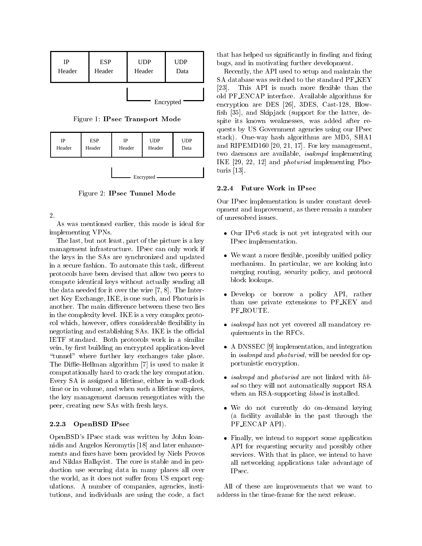| IP     | <b>ESP</b> | <b>UDP</b> | <b>UDP</b> |
|--------|------------|------------|------------|
| Header | Header     | Header     | Data       |
|        |            | Encrypted  |            |

Figure 1: IPsec Transport Mode

| $_{\rm IP}$ | <b>ESP</b> | IP     | <b>UDP</b> | <b>UDP</b> |  |  |
|-------------|------------|--------|------------|------------|--|--|
| Header      | Header     | Header | Header     | Data       |  |  |
| Encrypted   |            |        |            |            |  |  |

Figure 2: IPsec Tunnel Mode

 $2.$ 

As was mentioned earlier-dependent of the interactioned earlier-dependent of the interaction  $\mathcal{A}$ implementing VPNs

part of the last-contract part of the picture is a key of the picture is a key of the picture is a key of the p management infrastructure. IPsec can only work if the keys in the SAs are synchronized and updated in a secure fashion To automate this task- dierent protocols have been devised that allow two peers to compute identical keys without actually sending all the data needed for it over the interest of it over the wire - it over the wire - it over the wire - it over t net Key Exchange-Band - International and Photography is one such a suchanother. The main difference between these two lies in the complexity level. IKE is a very complex protocol which-independent considerable existence of the considerable existence of the considerable existence of th negotiating and establishing SAs. IKE is the official IETF standard. Both protocols work in a similar vein-by rst building and applicationlevel application and the control of the control of the control of the control of the control of the control of the control of the control of the control of the control of the control of "tunnel" where further key exchanges take place. The Diffie-Hellman algorithm [7] is used to make it computationally hard to crack the key computation every Secret and in present a lifetime-in collection and in which was also time or in volume- and when such a lifetime expiresthe key management daemon renegotiates with the per-creating new SAS with fresh keys with fresh keys with fresh keys with fresh keys with fresh keys with the s

## 2.2.3 OpenBSD IPsec

OpenBSD's IPsec stack was written by John Ioannidis and Angelos Keromytis [18] and later enhancements and fixes have been provided by Niels Provos and Niklas Hallqvist. The core is stable and in production use securing data in many places all over the world- as it does not support the substitution of the support regular regular regular regular regular regular regular regular regular regular regular regular regular regular regular regular regular regular regular regu ulations and companies- institute and companies-  $\mathcal{L}_{\mathbf{A}}$  . Institute and companies tutions-distance are using the code-distance are using the code-distance are using the code-distance are using the code-

that has helped us significantly in finding and fixing  $\mathcal{L}$  and in the motivation development development development of  $\mathcal{L}$ 

Recently-the API shows the API used the and maintain the set SA database was switched to the standard PF KEY , this approximate the more density continues the contract of  $\mathcal{L}_\mathbf{z}$ old PF ENCAP interface Available algorithms for encryption are DES (2013 VIII-01 VIII-01 VIII-01 VIII-01 sh - and Skip jack support for the latter- de spite its known weaknesses- was added after re quests by US Government agencies using our IPsec stack Oneway has a stack of the MD in the MD in the MD in the MD in the MD in the MD in the MD in the MD in the MD in the MD in the MD in the MD in the MD in the MD in the MD in the MD in the MD in the MD in the MD in the and RIPEMD  $\sim$  key management-between  $\sim$  key management-between  $\sim$  key management-between  $\sim$ two daemons are available-industrial ble-monthly-industrial and and any contract of  $\pi$ IKE - - and photurisd implementing Pho  $t = t$ 

### 2.2.4 Future Work in IPsec

Our IPsec implementation is under constant devel opment-based and improvement-based and improvement-based and improvement-based and improvement-based and improve of unresolved issues

- $\bullet$  Our IPv6 stack is not yet integrated with our IPsec implementation
- where we have a more contracted police and police police police and police and police and police and police and police and police and police and police and police and police and police and police and police and police and mechanism In particular- we are looking into merging routing- security policy- and protocol block lookups
- Develop or borrow a policy API- rather than use private extensions to PF KEY and PF\_ROUTE.
- $\bullet$  *isakmpd* has not yet covered all mandatory requirements in the RFCs
- $\mathcal{L}$  and integration-dimension-dimension-dimension-dimension-dimension-dimension-dimension-dimension-dimension-dimension-dimension-dimension-dimension-dimension-dimension-dimension-dimension-dimension-dimension-dimens in is a money at the needed for operation of the needed for operation of  $\mathbb{P}^n$ portunistic encryption
- *isakmpd* and *photurisd* are not linked with *lib*ssl so they will not automatically support RSA when an RSA-supporting *libssl* is installed.
- We do not currently do on-demand keying a facility available in the past through the PF ENCAP API).
- Finally- we intend to support some application API for requesting security and possibly other services with the induction place-  $\frac{1}{2}$  with the service to have the service all networking applications take advantage of IPsec

All of these are improvements that we want to address in the time-frame for the next release.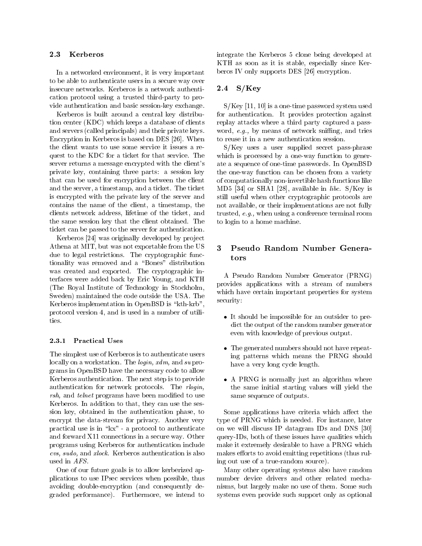#### 2.3 Kerberos

in a networked environment-industry in the compact compact of the compact of the compact of the compact of the to be able to authenticate users in a secure way over insecure networks Kerberos is a network authenti cation protocol using a trusted third-party to provide authentication and basic session-key exchange.

Kerberos is built around a central key distribu tion center (KDC) which keeps a database of clients and servers (called principals) and their private keys. Encryption in Kerberos is based on DES [26]. When the client wants to use some service it issues a re quest to the KDC for a ticket for that service The server returns a message encrypted with the client's private key-1 containing three parts at session key-1 which c that can be used for encryption between the client and the server-ticket The server-ticket The server-ticket The timestamp-ticket The timestampis encrypted with the private key of the server and contains the name of the name of the client-term of the client-term of the client-term of the client-term of t clients network address- lifetime of the ticketthe same session key that the client obtained. The ticket can be passed to the server for authentication

Kerberos  $[24]$  was originally developed by project Athena at MIT-1 at  $\mathbb{R}$  but was not exponentially at MIT-1 at  $\mathbb{R}$  but was not exponentially at  $\mathbb{R}$ due to legal restrictions. The cryptographic functionality was removed and a "Bones" distribution was created and exported. The cryptographic interfaces were added back by Eric Young- and KTH The Royal Institute of Technology in Stockholm-Sweden) maintained the code outside the USA. The Kerberos implementation in OpenBSD is "kth-krb", protocol version - and is used in a number of utility of utility of utility of utility of utility of utility of ties

#### **Practical Uses** 2.3.1

The simplest use of Kerberos is to authenticate users locally on a workstation. The *login*,  $xdm$ , and  $su$  programs in OpenBSD have the necessary code to allow Kerberos authentication The next step is to provide authentication for network protocols. The *rlogin*,  $rsh$ , and telnet programs have been modified to use Kerberos In addition to that- they can use the ses sion key- obtained in the authentication phaseencrypt the data-stream for privacy. Another very practical use is in " $kx$ " - a protocol to authenticate and forward  $X11$  connections in a secure way. Other programs using Kerberos for authentication include cvs, sudo, and xlock. Kerberos authentication is also used in AFS

One of our future goals is to allow kerberized ap plications to use IPsec services when possible- thus avoiding double-encryption (and consequently de- $\mathbf{u}$  internal performance  $\mathbf{v}$  internal performance  $\mathbf{v}$ 

integrate the Kerberos 5 clone being developed at especially since the it is stable-to-problem, since Kers beros IV only supports DES [26] encryption.

#### 2.4  $S/Key$

SKey - is a onetime password system used for authentication It provides protection against replay attacks where a third party captured a pass word- en by means of network sning-by means of network sning-by means of network sning-by means of network sni to reuse it in a new authentication session

the available of them implementations are not fully and trusted a conference terminal room and the conference terminal room.  $S/Key$  uses a user supplied secret pass-phrase which is processed by a one-way function to generate a sequence of one-time passwords. In OpenBSD the oneway function can be chosen from a variety of computationally non-invertible hash functions like ma ilaa shan waxaa jarji middadka ay illaa qofaan, wa still useful when other cryptographic protocols are to login to a home machine

# tors

 which have certain important properties for system A Pseudo Random Number Generator (PRNG) provides applications with a stream of numbers security

- It should be impossible for an outsider to pre dict the output of the random number generator even with knowledge of previous output
- The generated numbers should not have repeating patterns which means the PRNG should have a very long cycle length.
- A PRNG is normally just an algorithm where the same initial starting values will yield the same sequence of outputs

to the some applications have criteria which are considered at the some applications of the some aect the some type of PRNG which is needed For instance- later on will discuss IP datagram IDS and DNS and DNS and DNS and DNS and DNS and DNS and DNS and DNS and DNS and DNS and DNS and DNS and DNS and DNS and DNS and DNS and DNS and DNS and DNS and DNS and DNS and DNS and DNS and D  $\mathbf{d}$ s-both of these issues have  $\mathbf{d}$  these issues which of these issues which of these issues which of the set make it extremely desirable to have a PRNG which makes efforts to avoid emitting repetitions (thus ruling out use of a true-random source).

Many other operating systems also have random number device drivers and other related mecha nisms- but largely make no use of them Some such systems even provide such support only as optional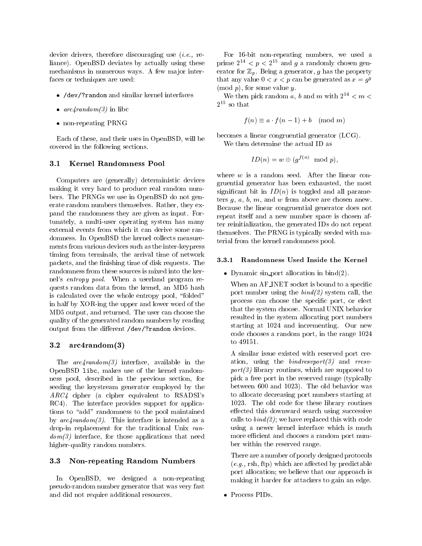device drivers and discourse discouraging use in the second liance). OpenBSD deviates by actually using these mechanisms in numerous ways. A few major interfaces or techniques are used

- /dev/?random and similar kernel interfaces
- $arc4 random(3)$  in libe
- non-repeating PRNG

Each of these- and their uses in OpenBSD- will be covered in the following sections

#### $3.1$ Kernel Randomness Pool

Computers are (generally) deterministic devices making it very hard to produce real random num bers. The PRNGs we use in OpenBSD do not generate random numbers themselves Rather- they ex pand the randomness they are given as input. Fortunately-multiuser operations of the multipulately-multipulately-multipulately-multipulately-multipulately-multipulately-multipulately-multipulately-multipulately-multipulately-multipulately-multipulately-multipulately-mul external events from which it can derive some ran domness. In OpenBSD the kernel collects measurements from various devices such as the inter-keypress timing from terminals- the arrival time of network packets- and the nishing time of disk requests Theory and the nishing  $\alpha$ randomness from these sources is mixed into the ker nel's entropy pool. When a userland program requests random data from the kernel-based of the kernel-based of the kernel-based of the kernel-based of the ker is calculated over the whole entropy pool- folded in half by XOR-ing the upper and lower word of the and return and returned the user can choose the user can choose the user can choose the user can choose the user can choose the user can continue the user can continue the user can continue the user can continue the user c quality of the generated random numbers by reading output from the different /dev/?random devices.

#### 3.2  $arc4$ random $(3)$

The arcrandom interface- available in the openBSD liberation and the the contract of the kernel random ness pool-bed in the previous section-bed in the previous section-bed in the previous section-bed in the previo seeding the keystream generator employed by the  $ARC4$  cipher (a cipher equivalent to RSADSI's RC4). The interface provides support for applications to "add" randomness to the pool maintained by  $arc4 random(3)$ . This interface is intended as a drop-in replacement for the traditional Unix random interface-those applications that needs that needs the second control of the second control of the second control of the second control of the second control of the second control of the second control of the second co higher-quality random numbers.

### 3.3 Non-repeating Random Numbers

en openBSD-, de aangeval a non-enopenbeg pseudo-random number generator that was very fast and did not require additional resources

For bit nonrepeating numbers- we used a prime  $2 \leq p \leq 2$  and y a randomly chosen gen- $\alpha$  and  $\alpha$   $\beta$   $\alpha$   $\beta$  and  $\alpha$   $\beta$  into the property that any value  $0 < x < p$  can be generated as  $x = g<sup>y</sup>$  $\frac{1}{2}$  for some value  $\frac{1}{2}$ 

We then pick random a,  $\theta$  and m with  $2^{++} \le m \le$ ∠ souna

$$
f(n) \equiv a \cdot f(n-1) + b \pmod{m}
$$

becomes a linear congruential generator  $(LCG)$ .

We then determine the actual ID as

$$
ID(n) = w \oplus (g^{f(n)} \mod p),
$$

where  $w$  is a random seed. After the linear congruential generator has been exhausted-part in most significant bit in  $ID(n)$  is toggled and all parameters g- a- b- m- and <sup>w</sup> from above are chosen anew Because the linear congruential generator does not repeat itself and a new number space is chosen af the communication-intervalsed IDs do not repeat the second intervalse in the second intervalse in the second i themselves The PRNG is typically seeded with ma terial from the kernel randomness pool

### Randomness Used Inside the Kernel

• Dynamic sin port allocation in bind $(2)$ .

When an AF\_INET socket is bound to a specific port number using the bind system call- the process can choose the species can choose the species portthat the system choose Normal UNIX behavior resulted in the system allocating port numbers starting at 1024 and incrementing. Our new code chooses a random port-de-chooses a range chooses a random port-de-chooses a range choose a range choose a to 49151.

A similar issue existed with reserved port cre ation-bindressen, and results and results and results are and results and results are and results and results port is a second to the support of the support of the support of the support of the support of the support of the support of the support of the support of the support of the support of the support of the support of the sup pick a free port in the reserved range (typically between  $\mathbf{r}$  and  $\mathbf{r}$  and  $\mathbf{r}$  and  $\mathbf{r}$ to allocate decreasing port numbers starting at The old code for the old code for the old code for the old code for the old code for the old code for the old c effected this downward search using successive calls to  $bind(2)$ ; we have replaced this with code using a newer kernel interface which is much more efficient and chooses a random port number within the reserved range

There are a number of poorly designed protocols ega rsh-by predictable by predictable by predictable by predictable by predictable by predictable by predictable by predictable by predictable by predictable by predictable by predictable by predictable by predictable by port allocation; we believe that our approach is making it harder for attackers to gain an edge

• Process PIDs.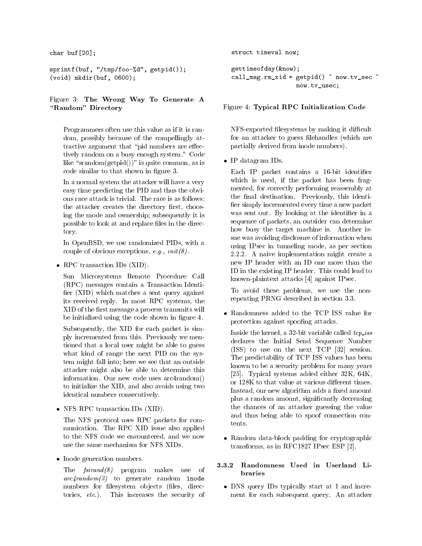charge charge company of the set of the set of the set of the set of the set of the set of the set of the set of the set of the set of the set of the set of the set of the set of the set of the set of the set of the set of

```
\mathbf{v} and \mathbf{v} and \mathbf{v} are the space of \mathbf{v} and \mathbf{v} and \mathbf{v} are the space of \mathbf{v}\lambda , \lambda , \lambda , \lambda , \lambda , \lambda , \lambda , \lambda , \lambda , \lambda , \lambda , \lambda
```
# $\mathbf{F}$  figure  $\mathbf{F}$  and  $\mathbf{F}$  and  $\mathbf{F}$  and  $\mathbf{F}$  and  $\mathbf{F}$  and  $\mathbf{F}$  and  $\mathbf{F}$  and  $\mathbf{F}$  and  $\mathbf{F}$  and  $\mathbf{F}$  and  $\mathbf{F}$  and  $\mathbf{F}$  and  $\mathbf{F}$  and  $\mathbf{F}$  and  $\mathbf{F}$  and  $\mathbf{F}$  a "Random" Directory

Programmers often use this value as if it is ran dom- possibly domestic of the compensations of the competitive of the competitive of the competitive of the co tractive argument that "pid numbers are effectively random on a busy enough system." Code like state state of  $\{A \cdot \{b\} \}$  is a signature commoncode similar to that shown in gure shown in gure

In a normal system the attacker will have a very easy time predicting the PID and thus the obvi ous race attack is trivial. The race is as follows: the attacker creates the directory rst-directory rst-directory rst-directory rst-directory rst-directory rsting the mode and ownership; subsequently it is possible to look at and replace files in the directory

In OpenBSD- in OpenBSD- with a strategies of the strategies of the strategies of the strategies of the strategies of the strategies of the strategies of the strategies of the strategies of the strategies of the strategies couple of obvious exceptions-between the couple of obvious exceptions-between the couple of the couple of the coupl

 $\bullet$  RPC transaction IDs (XID).

Sun Microsystems Remote Procedure Call (RPC) messages contain a Transaction Identifier  $(XID)$  which matches a sent query against its received reply In most RPC systems- the XID of the first message a process transmits will be initialized using the code shown in figure 4.

subsequently-bend in the XID for each packet is simple that the XID for each packet is simple to the SID for each packet is simple to the SID for each packet is simple to the SID for each packet is simple to the SID for ea ply incremented from this. Previously we mentioned that a local user might be able to guess what kind of range the next PID on the system might fall into; here we see that an outside attacker might also be able to determine this information. Our new code uses  $arc4random()$ to initial the XID-distribution of the XID-distribution of the XID-distribution of the XID-distribution of the identical numbers consecutively

 $\bullet$  NFS RPC transaction IDs (XID).

The NFS protocol uses RPC packets for com munication The RPC XID issue also applied to the NFS code we encountered-we now the NFS code we now the NFS code we now the NFS code we now the NFS code use the same mechanism for NFS XIDs

• Inode generation numbers.

The  $fsirand (8)$  program makes use of  $arc4 random (3)$  to generate random inode numbers for lesystem ob jects les- direc tories-the security of the security of the security of the security of the security of the security of the security of the security of the security of the security of the security of the security of the security of the sec

```
s = s = s = s . The structure of s = sgettimeofday(know);callmsgrmxid  getpid	  nowtvsec 
     now.tv_usec;
```
# Figure 4: Typical RPC Initialization Code

NFS-exported filesystems by making it difficult for an attacker to guess filehandles (which are partially derived from inode numbers

• IP datagram IDs.

Each IP packet contains a 16-bit identifier which is used-to-the packet has been fragmental to the packet has been fragmental to  $\mathbf{f}$ mented- for correctly performing reassembly at the nal destination  $P$  and  $P$  and  $P$  and  $P$  and  $P$  and  $P$  and  $P$  and  $P$  and  $P$  and  $P$  and  $P$  and  $P$  and  $P$  and  $P$  and  $P$  and  $P$  and  $P$  and  $P$  and  $P$  and  $P$  and  $P$  and  $P$  and  $P$  and  $P$  and  $P$  and fier simply incremented every time a new packet was sent out. By looking at the identifier in a sequence of packets-between the packets-between the can determine the can determine the can determine the can how busy the target machine is. Another issue was avoiding disclosure of information when using IPsec in tunneling mode-2.2.2. A naive implementation might create a new IP header with an ID one more than the ID in the existing IP header. This could lead to known-plaintext attacks  $[4]$  against IPsec.

To avoid the non-terminal problems-below the non-terminal problems-below the non-terminal problems-below the n repeating PRNG described in section

 Randomness added to the TCP ISS value for protection against spoofing attacks.

Inside the kernel-bit variable called terms of the kernel-bit variable called terms of the called terms of the declares the Initial Send Sequence Number  $\blacksquare$  session to use on the next TCP  $\blacksquare$  session to use on the next TCP  $\blacksquare$ The predictability of TCP ISS values has been known to be a security problem for many years Typical systems added either K- Kor 128K to that value at various different times. Instead- our new algorithm adds a xed amount plus a random amount-decreasing and amount-decreasing and amount-decreasing and amount-decreasing and a random the chances of an attacker guessing the value and thus being able to spoof connection con tents

• Random data-block padding for cryptographic transforms-definition of the contract of the contract of the contract of the contract of the contract of the contract of the contract of the contract of the contract of the contract of the contract of the contract of the c

#### 3.3.2 Randomness Used in Userland Li braries

• DNS query IDs typically start at 1 and increment for each subsequent query An attacker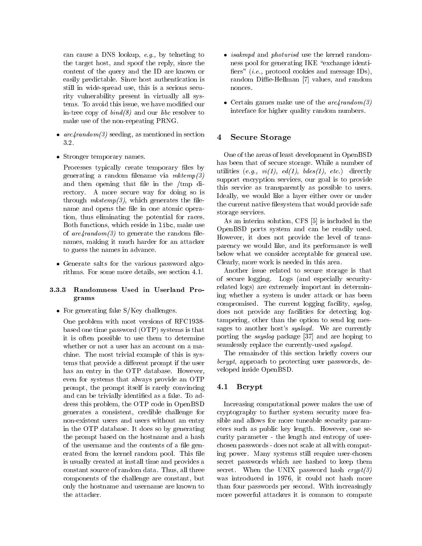eg by teleneting and the DNS looking to the looking to the causal of the contract of the contract of the contract of the contract of the contract of the contract of the contract of the contract of the contract of the contr the target model which are the reply-to-model the replycontent of the query and the ID are known or easily predictable. Since host authentication is still in widespread use of the serious security security security security security security is a serious security rity vulnerability present in virtually all sys tems To avoid this issue-temperature modied our temperature modied our temperature model our temperature model in-tree copy of  $bind(8)$  and our *libc* resolver to make use of the non-repeating PRNG.

- arcrandom seeding- as mentioned in section
- Stronger temporary names.

Processes typically create temporary files by generating a random filename via  $mktemp(3)$ and then opening that file in the  $/\text{tmp}$  directory. A more secure way for doing so is through  $mkstemp(3)$ , which generates the filename and opens the file in one atomic operation- thus eliminating the potential for races  $B$  functions functions in the section of the section of  $\mathcal{N}$ of  $arc\text{4} \text{radom}(\beta)$  to generate the random filenames- making it much harder for an attacker to guess the names in advance

• Generate salts for the various password algorithms For some more details- see section

# 3.3.3 Randomness Used in Userland Programs

• For generating fake  $S/Key$  challenges.

One problem with most versions of RFC based one time password (OTP) systems is that it is often possible to use them to determine whether or not a user has an account on a ma chine. The most trivial example of this is systems that provide a different prompt if the user has an entry in the OTP database. However, even for systems that always provide an OTP prompt-itself is rarely convincing its rarely convincing in the convincing in the convincing in the convincing of the convincing in the convincing in the convincing in the convincing in the convincing in the convincing in and can be trivially identified as a fake. To address the problem, this code in OpenBSD code in OpenBSD code in generates a consistent consiste challenge for the  $\alpha$ nonexistent users and users without an entry in the OTP database It does so by generating the prompt based on the hostname and a hash of the username and the contents of a file generated from the kernel random pool. This file is usually created at install time and provides a complete source of random data Thus-Thus-Thus-Thus-Thus-Thus-Thuscomponents of the challenge are constant-powers are cons only the hostname and username are known to the attacker.

- *isakmpd* and *photurisd* use the kernel randomness pool for generating IKE "exchange identifiers"  $(i.e., protocol cookies and message IDs)$ , random DieHellman values- values- values- values- values- values- values- values- values- values- v nonces.
- Certain games make use of the  $arc4 random(3)$ interface for higher quality random numbers

# Secure Storage

One of the areas of least development in OpenBSD has been that of secure storage. While a number of utilities  $(e.g., vi(1), ed(1), bdes(1), etc.)$  directly support encryption services, see Arm of the provider this service as transparently as possible to users Ideally- we would like a layer either over or under the current native filesystem that would provide safe storage services

 $\mathbf{A}$ s an interim solution-solution-solution-solution-solution-solution-solution-solution-solution-solution-solution-solution-solution-solution-solution-solution-solution-solution-solution-solution-solution-solution-so OpenBSD ports system and can be readily used However- it does not provide the level of trans partners, we would consider the performance is wellbelow what we consider acceptable for general use clearly-present is needed in this area in the same work is an

Another issue related to secure storage is that of secure logging. Logs (and especially securityrelated logs) are extremely important in determining whether a system is under attack or has been compromised The current logging facility- syslogdoes not provide any facilities for detecting log tampering-than the option to send the option to send  $\alpha$  and  $\alpha$ sages to another host's  $syslog d$ . We are currently porting the ssyslog package (9.) and are hoping to seamlessly replace the currently-used  $syslogd$ .

The remainder of this section briefly covers our bcrypt- approach to protecting user passwords- de veloped inside OpenBSD

# 4.1 Bcrypt

Increasing computational power makes the use of cryptography to further system security more fea sible and allows for more tuneable security param eters such as public key length However- one se curity parameter - the length and entropy of userchosen passwords - does not scale at all with computing power. Many systems still require user-chosen secret passwords which are hashed to keep them secret. When the UNIX password hash  $crypt(3)$ was introduced in a state in the state of the state of the state of  $\sim$ than four passwords per second. With increasingly more powerful attackers it is common to compute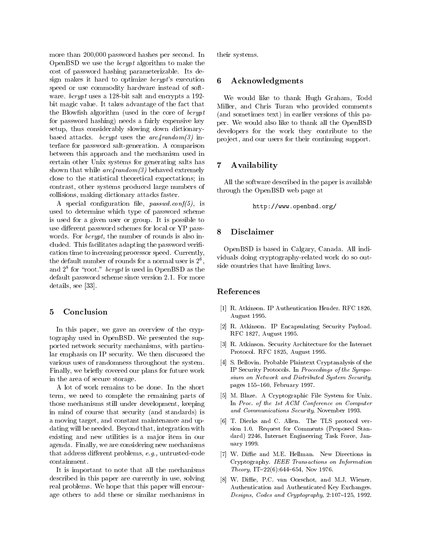more than - password in the second in the second in the second internal contracts of the second internal contracts OpenBSD we use the bcrypt algorithm to make the cost of password hashing parameterizable Its de sign makes it hard to optimize  $bcrypt's$  execution  $6$ speed or use commodity hardware instead of soft ware *bcrypt* uses a 128-bit salt and encrypts a 192bit magic value. It takes advantage of the fact that the Blowfish algorithm (used in the core of  $bcrypt$ for password hashing) needs a fairly expensive key setup-blood and the constant of the constant of the constant of the constant of the constant of the constant o based attacks. *bcrypt* uses the  $arc/$ *andom* $(3)$  interface for password salt-generation. A comparison between this approach and the mechanism used in certain other Unix systems for generating salts has  $\overline{7}$ shown that while  $arc\frac{4}{\pi}$  behaved extremely close to the statistical theoretical expectations; in contrast- other systems produced large numbers produced large numbers produced large numbers produced large numbers of collisions-dictionary attacks faster dictionary attacks faster distinct of the collision of the collision of the collision of the collision of the collision of the collision of the collision of the collision of the collisi

a species conguration in password; it is not a used to determine which type of password scheme is used for a given user or group. It is possible to use different password schemes for local or  $YP$  pass-<br>8 words. For  $bcrypt$ , the number of rounds is also included. This facilitates adapting the password verification time to increasing processor speed. Currently, the default number of rounds for a normal user is  $\mathcal{Z}^{\ast}$ ,  $\qquad$  . and  $\mathcal{Z}^-$  for froot. *ocrypt* is used in OpenBSD as the default password scheme since version 2.1. For more details-see the sees that the sees the sees the sees that the sees the sees the sees that the sees the sees th

# Conclusion

In this paper- we gave an overview of the cryp tography used in OpenBSD. We presented the supported network security mechanisms- with particu lar emphasis on IP security We then discussed the various uses of randomness throughout the system Finally- we briey covered our plans for future work in the area of secure storage

A lot of work remains to be done In the short term- we need to complete the remaining parts of those mechanisms still under development- keeping in mind of course that security (and standards) is a moving the group maintenance and up the maintenance and up the constant maintenance and up the constant of t denotes with the needed Beyond that  $\alpha$  is a set of  $\alpha$ existing and new utilities is a major item in our and Finally-state  $\mathcal{L}$  and  $\mathcal{L}$  are considering new mechanisms of  $\mathcal{L}$ that address dierent problems-dierent problems-dierent problems-dierent problemscontainment

It is important to note that all the mechanisms described in the paper are currently in use- in the use  $\mathcal{A}$ real problems. We hope that this paper will encourage others to add these or similar mechanisms in

their systems

# Acknowledgments

was would be a thank Hugh Graham- and the today Miller- and Chris Turan who provided comments (and sometimes text) in earlier versions of this paper We would also like to thank all the OpenBSD developers for the work they contribute to the pro ject- and our users for their continuing support

# Availability

All the software described in the paper is available through the OpenBSD web page at

httpwwwopenbsdorg

# **Disclaimer**

viduals doing cryptography-related work do so out side countries that have limiting laws OpenBSD is based in Calgary- Canada All in Calgary-

# References

- R Atkinson IP Authentication Header RFC August 1995.
- R Atkinson IP Encapsulating Security Payload august et al., august et al., august et al., august et al., august et al., august et al., august et al., augus
- R Atkinson Security Architecture for the Internet Protocol. RFC 1825, August 1995.
- $\mathbf{F} = \mathbf{F} \cdot \mathbf{F}$  below the probability of the state  $\mathbf{F}$ IP Security Protocols In Proceedings of the Sympo sium on Network and Distributed System Security pages  $\mathbf{r}$  and  $\mathbf{r}$  are  $\mathbf{r}$  and  $\mathbf{r}$  are  $\mathbf{r}$  and  $\mathbf{r}$  are  $\mathbf{r}$  and  $\mathbf{r}$  are  $\mathbf{r}$  and  $\mathbf{r}$  are  $\mathbf{r}$  and  $\mathbf{r}$  are  $\mathbf{r}$  and  $\mathbf{r}$  are  $\mathbf{r}$  and  $\mathbf{r}$  and  $\mathbf{r}$
- , which is a cryptographic file System for Unix Company In Proc of the -st ACM Conference on Computer and Communications Security, November 1993.
- T Dierks and C Allen The TLS protocol ver sion 1.0. Request for Comments (Proposed Standard) 2246, Internet Engineering Task Force, January 1999.
- W Die and ME Hellman New Directions in Cryptography. IEEE Transactions on Information state that is not contained to the second contact of the second second state of  $\mathbb{R}^n$
- W Die PC van Oorschot and MJ Wiener Authentication and Authenticated Key Exchanges Designs Codes and Cryptography